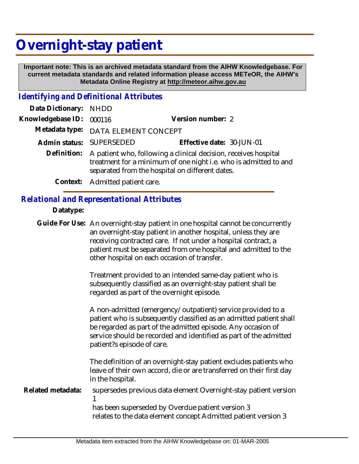# **Overnight-stay patient**

 **Important note: This is an archived metadata standard from the AIHW Knowledgebase. For current metadata standards and related information please access METeOR, the AIHW's Metadata Online Registry at http://meteor.aihw.gov.au**

#### *Identifying and Definitional Attributes*

| Data Dictionary: NHDD |                                                                                                                                                                                                    |                           |
|-----------------------|----------------------------------------------------------------------------------------------------------------------------------------------------------------------------------------------------|---------------------------|
| Knowledgebase ID:     | 000116                                                                                                                                                                                             | Version number: 2         |
|                       | Metadata type: DATA ELEMENT CONCEPT                                                                                                                                                                |                           |
|                       | Admin status: SUPERSEDED                                                                                                                                                                           | Effective date: 30-JUN-01 |
|                       | Definition: A patient who, following a clinical decision, receives hospital<br>treatment for a minimum of one night i.e. who is admitted to and<br>separated from the hospital on different dates. |                           |
|                       | Context: Admitted patient care.                                                                                                                                                                    |                           |

### *Relational and Representational Attributes*

#### **Datatype:**

Guide For Use: An overnight-stay patient in one hospital cannot be concurrently an overnight-stay patient in another hospital, unless they are receiving contracted care. If not under a hospital contract, a patient must be separated from one hospital and admitted to the other hospital on each occasion of transfer.

> Treatment provided to an intended same-day patient who is subsequently classified as an overnight-stay patient shall be regarded as part of the overnight episode.

A non-admitted (emergency/outpatient) service provided to a patient who is subsequently classified as an admitted patient shall be regarded as part of the admitted episode. Any occasion of service should be recorded and identified as part of the admitted patient?s episode of care.

The definition of an overnight-stay patient excludes patients who leave of their own accord, die or are transferred on their first day in the hospital.

supersedes previous data element Overnight-stay patient version 1 **Related metadata:**

has been superseded by Overdue patient version 3 relates to the data element concept Admitted patient version 3